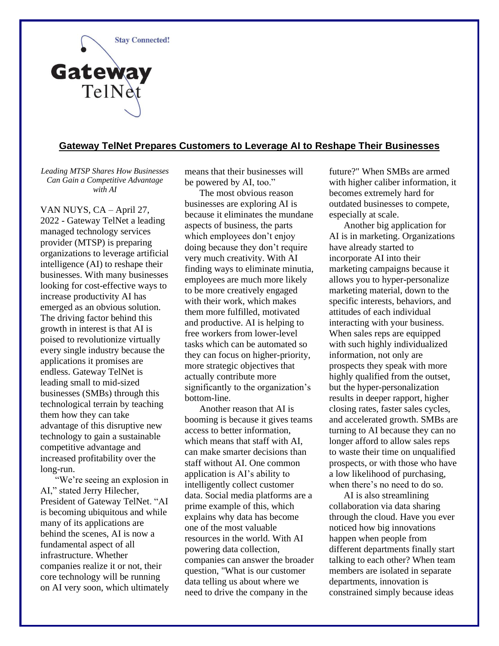

## **Gateway TelNet Prepares Customers to Leverage AI to Reshape Their Businesses**

*Leading MTSP Shares How Businesses Can Gain a Competitive Advantage with AI*

VAN NUYS, CA – April 27, 2022 - Gateway TelNet a leading managed technology services provider (MTSP) is preparing organizations to leverage artificial intelligence (AI) to reshape their businesses. With many businesses looking for cost-effective ways to increase productivity AI has emerged as an obvious solution. The driving factor behind this growth in interest is that AI is poised to revolutionize virtually every single industry because the applications it promises are endless. Gateway TelNet is leading small to mid-sized businesses (SMBs) through this technological terrain by teaching them how they can take advantage of this disruptive new technology to gain a sustainable competitive advantage and increased profitability over the long-run.

"We're seeing an explosion in AI," stated Jerry Hilecher, President of Gateway TelNet. "AI is becoming ubiquitous and while many of its applications are behind the scenes, AI is now a fundamental aspect of all infrastructure. Whether companies realize it or not, their core technology will be running on AI very soon, which ultimately means that their businesses will be powered by AI, too."

The most obvious reason businesses are exploring AI is because it eliminates the mundane aspects of business, the parts which employees don't enjoy doing because they don't require very much creativity. With AI finding ways to eliminate minutia, employees are much more likely to be more creatively engaged with their work, which makes them more fulfilled, motivated and productive. AI is helping to free workers from lower-level tasks which can be automated so they can focus on higher-priority, more strategic objectives that actually contribute more significantly to the organization's bottom-line.

Another reason that AI is booming is because it gives teams access to better information, which means that staff with AI, can make smarter decisions than staff without AI. One common application is AI's ability to intelligently collect customer data. Social media platforms are a prime example of this, which explains why data has become one of the most valuable resources in the world. With AI powering data collection, companies can answer the broader question, "What is our customer data telling us about where we need to drive the company in the

future?" When SMBs are armed with higher caliber information, it becomes extremely hard for outdated businesses to compete, especially at scale.

Another big application for AI is in marketing. Organizations have already started to incorporate AI into their marketing campaigns because it allows you to hyper-personalize marketing material, down to the specific interests, behaviors, and attitudes of each individual interacting with your business. When sales reps are equipped with such highly individualized information, not only are prospects they speak with more highly qualified from the outset, but the hyper-personalization results in deeper rapport, higher closing rates, faster sales cycles, and accelerated growth. SMBs are turning to AI because they can no longer afford to allow sales reps to waste their time on unqualified prospects, or with those who have a low likelihood of purchasing, when there's no need to do so.

AI is also streamlining collaboration via data sharing through the cloud. Have you ever noticed how big innovations happen when people from different departments finally start talking to each other? When team members are isolated in separate departments, innovation is constrained simply because ideas